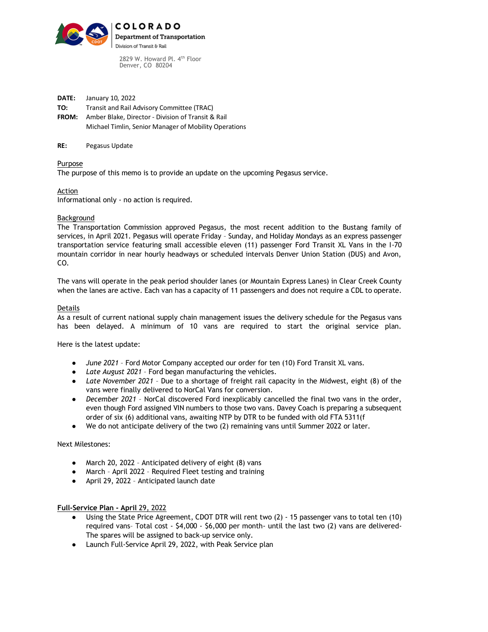

2829 W. Howard Pl. 4<sup>th</sup> Floor Denver, CO 80204

**DATE:** January 10, 2022 **TO:** Transit and Rail Advisory Committee (TRAC) **FROM:** Amber Blake, Director - Division of Transit & Rail

- Michael Timlin, Senior Manager of Mobility Operations
- **RE:** Pegasus Update

Purpose

The purpose of this memo is to provide an update on the upcoming Pegasus service.

Action

Informational only - no action is required.

## Background

The Transportation Commission approved Pegasus, the most recent addition to the Bustang family of services, in April 2021. Pegasus will operate Friday – Sunday, and Holiday Mondays as an express passenger transportation service featuring small accessible eleven (11) passenger Ford Transit XL Vans in the I-70 mountain corridor in near hourly headways or scheduled intervals Denver Union Station (DUS) and Avon, CO.

The vans will operate in the peak period shoulder lanes (or Mountain Express Lanes) in Clear Creek County when the lanes are active. Each van has a capacity of 11 passengers and does not require a CDL to operate.

## Details

As a result of current national supply chain management issues the delivery schedule for the Pegasus vans has been delayed. A minimum of 10 vans are required to start the original service plan.

Here is the latest update:

- *June 2021* Ford Motor Company accepted our order for ten (10) Ford Transit XL vans.
- *Late August 2021* Ford began manufacturing the vehicles.
- *Late November 2021* Due to a shortage of freight rail capacity in the Midwest, eight (8) of the vans were finally delivered to NorCal Vans for conversion.
- *December 2021* NorCal discovered Ford inexplicably cancelled the final two vans in the order, even though Ford assigned VIN numbers to those two vans. Davey Coach is preparing a subsequent order of six (6) additional vans, awaiting NTP by DTR to be funded with old FTA 5311(f
- We do not anticipate delivery of the two (2) remaining vans until Summer 2022 or later.

Next Milestones:

- March 20, 2022 Anticipated delivery of eight (8) vans
- March April 2022 Required Fleet testing and training
- April 29, 2022 Anticipated launch date

## **Full-Service Plan - April** 29, 2022

- Using the State Price Agreement, CDOT DTR will rent two (2) 15 passenger vans to total ten (10) required vans– Total cost - \$4,000 - \$6,000 per month- until the last two (2) vans are delivered-The spares will be assigned to back-up service only.
- Launch Full-Service April 29, 2022, with Peak Service plan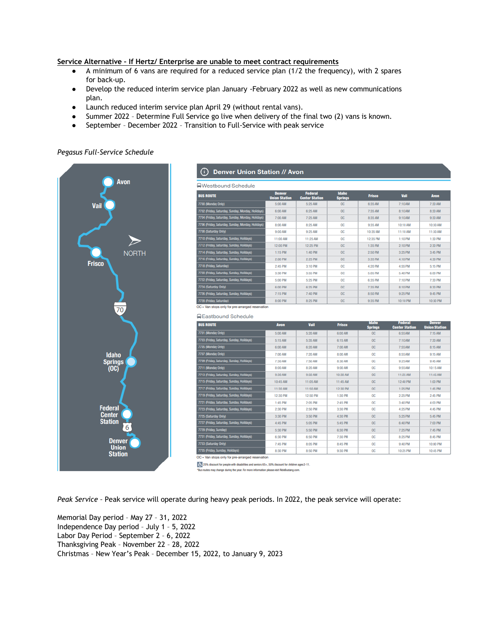## **Service Alternative – If Hertz/ Enterprise are unable to meet contract requirements**

- A minimum of 6 vans are required for a reduced service plan (1/2 the frequency), with 2 spares for back-up.
- Develop the reduced interim service plan January -February 2022 as well as new communications plan.
- Launch reduced interim service plan April 29 (without rental vans).
- Summer 2022 Determine Full Service go live when delivery of the final two (2) vans is known.

*Charles Contractor* 

● September – December 2022 – Transition to Full-Service with peak service

#### *Pegasus Full-Service Schedule*



# (i) Denver Union Station // Avon

| ■Westbound Schedule                               |                                       |                                         |  |  |  |  |  |  |
|---------------------------------------------------|---------------------------------------|-----------------------------------------|--|--|--|--|--|--|
| <b>BUS ROUTE</b>                                  | <b>Denver</b><br><b>Union Station</b> | <b>Federal</b><br><b>Center Station</b> |  |  |  |  |  |  |
| 7700 (Monday Only)                                | 5:00 AM                               | 5:25 AM                                 |  |  |  |  |  |  |
| 7702 (Friday, Saturday, Sunday, Monday, Holidays) | 6:00 AM                               | 6:25 AM                                 |  |  |  |  |  |  |
|                                                   |                                       |                                         |  |  |  |  |  |  |

| 702 (Friday, Saturday, Sunday, Monday, Holidays) | 6:00 AM  | 6:25 AM  | <b>OC</b> | 7:35 AM  | 8:10 AM  | 8:30 AM  |
|--------------------------------------------------|----------|----------|-----------|----------|----------|----------|
| 704 (Friday, Saturday, Sunday, Monday, Holidays) | 7:00 AM  | 7:25 AM  | <b>OC</b> | 8:35 AM  | 9:10 AM  | 9:30 AM  |
| 706 (Friday, Saturday, Sunday, Monday, Holidays) | 8:00 AM  | 8:25 AM  | <b>OC</b> | 9:35 AM  | 10:10 AM | 10:30 AM |
| 708 (Saturday Only)                              | 9:00 AM  | 9:25 AM  | <b>OC</b> | 10:35 AM | 11:10 AM | 11:30 AM |
| 710 (Friday, Saturday, Sunday, Holidays)         | 11:00 AM | 11:25 AM | <b>OC</b> | 12:35 PM | 1:10 PM  | 1:30 PM  |
| 712 (Friday, Saturday, Sunday, Holidays)         | 12:00 PM | 12:25 PM | OC        | 1:35 PM  | 2:10 PM  | 2:30 PM  |
| 714 (Friday, Saturday, Sunday, Holidays)         | 1:15 PM  | 1:40 PM  | OC        | 2:50 PM  | 3:25 PM  | 3:45 PM  |
| 716 (Friday, Saturday, Sunday, Holidays)         | 2:00 PM  | 2:25 PM  | <b>OC</b> | 3:35 PM  | 4:10 PM  | 4:30 PM  |
| 718 (Friday, Saturday)                           | 2:45 PM  | 3:10 PM  | <b>OC</b> | 4:20 PM  | 4:55 PM  | 5:15 PM  |
| 720 (Friday, Saturday, Sunday, Holidays)         | 3:30 PM  | 3:55 PM  | <b>OC</b> | 5:05 PM  | 5:40 PM  | 6:00 PM  |
| 722 (Friday, Saturday, Sunday, Holidays)         | 5:00 PM  | 5:25 PM  | <b>OC</b> | 6:35 PM  | 7:10 PM  | 7:30 PM  |
| 724 (Saturday Only)                              | 6:00 PM  | 6:25 PM  | OC        | 7:35 PM  | 8:10 PM  | 8:30 PM  |
| 726 (Friday, Saturday, Sunday, Holidays)         | 7:15 PM  | 7:40 PM  | OC        | 8:50 PM  | 9:25 PM  | 9:45 PM  |
| 728 (Friday, Saturday)                           | 8:00 PM  | 8:25 PM  | <b>OC</b> | 9:35 PM  | 10:10 PM | 10:30 PM |

Vail 7:10.0M

OC = Van stops only for pre-arranged reservation

**Q**Eastbound Schedule

| <b>BUS ROUTE</b>                          | <b>Avon</b> | Vail     | <b>Frisco</b> | <b>Idaho</b><br><b>Springs</b> | <b>Federal</b><br><b>Center Station</b> | <b>Denver</b><br><b>Union Station</b> |
|-------------------------------------------|-------------|----------|---------------|--------------------------------|-----------------------------------------|---------------------------------------|
| 7701 (Monday Only)                        | 5:00 AM     | 5:20 AM  | 6:00 AM       | <b>OC</b>                      | 6:55 AM                                 | 7:15 AM                               |
| 7703 (Friday, Saturday, Sunday, Holidays) | 5:15 AM     | 5:35 AM  | 6:15 AM       | <b>OC</b>                      | 7:10 AM                                 | 7:30 AM                               |
| 7705 (Monday Only)                        | 6:00 AM     | 6:20 AM  | 7:00 AM       | <b>OC</b>                      | 7:55 AM                                 | 8:15 AM                               |
| 7707 (Monday Only)                        | 7:00 AM     | 7:20 AM  | 8:00 AM       | <b>OC</b>                      | 8:55 AM                                 | 9:15 AM                               |
| 7709 (Friday, Saturday, Sunday, Holidays) | 7:30 AM     | 7:50 AM  | 8:30 AM       | <b>OC</b>                      | 9:25 AM                                 | 9:45 AM                               |
| 7711 (Monday Only)                        | 8:00 AM     | 8:20 AM  | 9:00 AM       | <b>OC</b>                      | 9:55 AM                                 | 10:15 AM                              |
| 7713 (Friday, Saturday, Sunday, Holidays) | 9:30 AM     | 9:50 AM  | 10:30 AM      | <b>OC</b>                      | 11:25 AM                                | 11:45 AM                              |
| 7715 (Friday, Saturday, Sunday, Holidays) | 10:45 AM    | 11:05 AM | 11:45 AM      | <b>OC</b>                      | 12:40 PM                                | 1:00 PM                               |
| 7717 (Friday, Saturday, Sunday, Holidays) | 11:30 AM    | 11:50 AM | 12:30 PM      | <b>OC</b>                      | 1:25 PM                                 | 1:45 PM                               |
| 7719 (Friday, Saturday, Sunday, Holidays) | 12:30 PM    | 12:50 PM | 1:30 PM       | <b>OC</b>                      | 2:25 PM                                 | 2:45 PM                               |
| 7721 (Friday, Saturday, Sunday, Holidays) | 1:45 PM     | 2:05 PM  | 2:45 PM       | <b>OC</b>                      | 3:40 PM                                 | 4:00 PM                               |
| 7723 (Friday, Saturday, Sunday, Holidays) | 2:30 PM     | 2:50 PM  | 3:30 PM       | <b>OC</b>                      | 4:25 PM                                 | 4:45 PM                               |
| 7725 (Saturday Only)                      | 3:30 PM     | 3:50 PM  | 4:30 PM       | <b>OC</b>                      | 5:25 PM                                 | 5:45 PM                               |
| 7727 (Friday, Saturday, Sunday, Holidays) | 4:45 PM     | 5:05 PM  | 5:45 PM       | <b>OC</b>                      | 6:40 PM                                 | 7:00 PM                               |
| 7729 (Friday, Sunday)                     | 5:30 PM     | 5:50 PM  | 6:30 PM       | <b>OC</b>                      | 7:25 PM                                 | 7:45 PM                               |
| 7731 (Friday, Saturday, Sunday, Holidays) | 6:30 PM     | 6:50 PM  | 7:30 PM       | <b>OC</b>                      | 8:25 PM                                 | 8:45 PM                               |
| 7733 (Saturday Only)                      | 7:45 PM     | 8:05 PM  | 8:45 PM       | <b>OC</b>                      | 9:40 PM                                 | 10:00 PM                              |
| 7735 (Friday, Sunday, Holidays)           | 8:30 PM     | 8:50 PM  | 9:30 PM       | <b>OC</b>                      | 10:25 PM                                | 10:45 PM                              |

OC = Van stops only for pre-arranged reservati

(E. 25% discount for people with disabilities and seniors 65+, 50% discount for children ages 2-11. les may change during the year. For more information please visit RideBustang.com

*Peak Service –* Peak service will operate during heavy peak periods. In 2022, the peak service will operate:

Memorial Day period – May 27 – 31, 2022 Independence Day period – July 1 – 5, 2022 Labor Day Period – September 2 – 6, 2022 Thanksgiving Peak – November 22 – 28, 2022 Christmas – New Year's Peak – December 15, 2022, to January 9, 2023